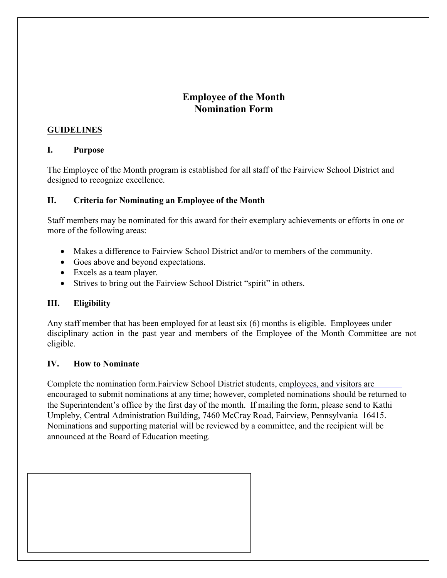# Employee of the Month Nomination Form

### GUIDELINES

### I. Purpose

The Employee of the Month program is established for all staff of the Fairview School District and designed to recognize excellence.

## II. Criteria for Nominating an Employee of the Month

Staff members may be nominated for this award for their exemplary achievements or efforts in one or more of the following areas:

- Makes a difference to Fairview School District and/or to members of the community.
- Goes above and beyond expectations.
- Excels as a team player.
- Strives to bring out the Fairview School District "spirit" in others.

# III. Eligibility

Any staff member that has been employed for at least six (6) months is eligible. Employees under disciplinary action in the past year and members of the Employee of the Month Committee are not eligible.

### IV. How to Nominate

Complete the nomination form.Fairview School District students, employees, and visitors are encouraged to submit nominations at any time; however, completed nominations should be returned to the Superintendent's office by the first day of the month. If mailing the form, please send to Kathi Umpleby, Central Administration Building, 7460 McCray Road, Fairview, Pennsylvania 16415. Nominations and supporting material will be reviewed by a committee, and the recipient will be announced at the Board of Education meeting.